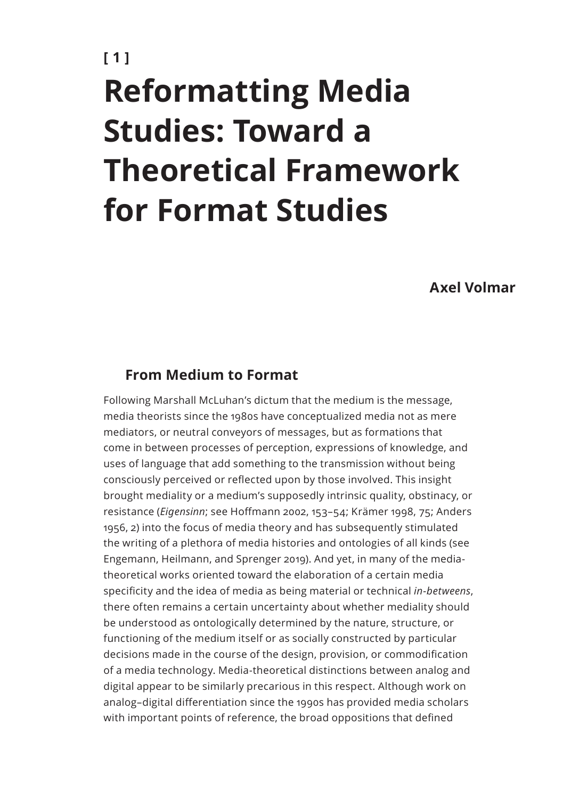# **[1] Reformatting Media Studies: Toward a Theoretical Framework for Format Studies**

**Axel Volmar**

# **From Medium to Format**

Following Marshall McLuhan's dictum that the medium is the message, media theorists since the 1980s have conceptualized media not as mere mediators, or neutral conveyors of messages, but as formations that come in between processes of perception, expressions of knowledge, and uses of language that add something to the transmission without being consciously perceived or reflected upon by those involved. This insight brought mediality or a medium's supposedly intrinsic quality, obstinacy, or resistance(*Eigensinn*;see Hoffmann 2002, 153–54; Krämer 1998, 75; Anders 1956, 2) into the focus of media theory and has subsequently stimulated the writing of a plethora of media histories and ontologies of all kinds (see Engemann, Heilmann, and Sprenger 2019). And yet, in many of the mediatheoretical works oriented toward the elaboration of a certain media specificity and the idea of media as being material or technical *in-betweens*, there often remains a certain uncertainty about whether mediality should be understood as ontologically determined by the nature, structure, or functioning of the medium itself or as socially constructed by particular decisions made in the course of the design, provision, or commodification ofamedia technology. Media-theoretical distinctions between analog and digital appear to be similarly precarious in this respect. Although work on analog–digital differentiation since the 1990s has provided media scholars with important points of reference, the broad oppositions that defined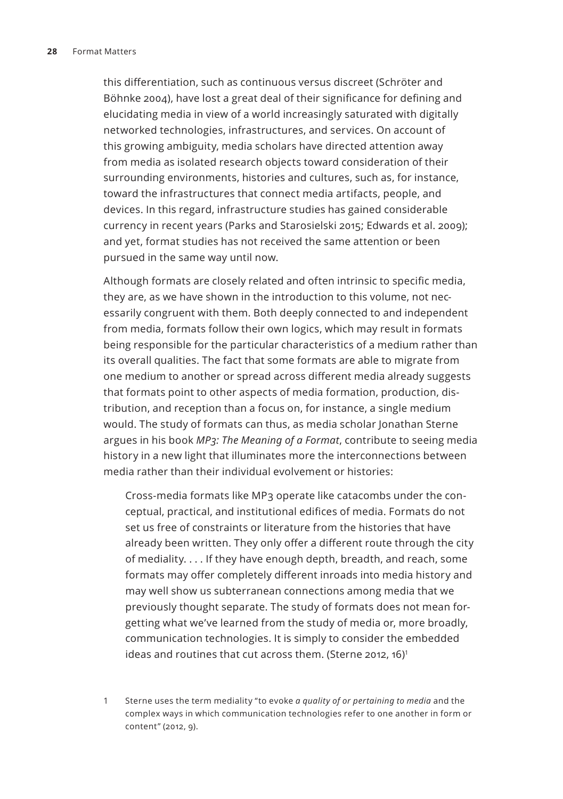this differentiation, such as continuous versus discreet (Schröter and Böhnke 2004), have lost a great deal of their significance for defining and elucidating media in view of a world increasingly saturated with digitally networked technologies, infrastructures, and services. On account of this growing ambiguity, media scholars have directed attention away from media as isolated research objects toward consideration of their surrounding environments, histories and cultures, such as, for instance, toward the infrastructures that connect media artifacts, people, and devices. In this regard, infrastructure studies has gained considerable currency in recent years (Parks and Starosielski 2015; Edwards et al. 2009); and yet, format studies has not received the same attention or been pursued in the same way until now.

Although formats are closely related and often intrinsic to specific media, they are, as we have shown in the introduction to this volume, not necessarily congruent with them. Both deeply connected to and independent from media, formats follow their own logics, which may result in formats being responsible for the particular characteristics of a medium rather than its overall qualities. The fact that some formats are able to migrate from one medium to another or spread across different media already suggests that formats point to other aspects of media formation, production, distribution, and reception than a focus on, for instance, a single medium would. The study of formats can thus, as media scholar Jonathan Sterne argues in his book *MP3: The Meaning of a Format*,contribute to seeing media history in a new light that illuminates more the interconnections between media rather than their individual evolvement or histories:

Cross-media formats like MP3 operate like catacombs under the conceptual, practical, and institutional edifices of media. Formats do not set us free of constraints or literature from the histories that have already been written. They only offer a different route through the city of mediality....If they have enough depth, breadth, and reach, some formats may offer completely different inroads into media history and may well show us subterranean connections among media that we previously thought separate. The study of formats does not mean forgetting what we've learned from the study of media or, more broadly, communication technologies. It is simply to consider the embedded ideas and routines that cut across them. (Sterne 2012, 16)<sup>1</sup>

1 Sterne uses the term mediality "to evoke *a quality of or pertaining to media* and the complex ways in which communication technologies refer to one another in form or content" (2012, 9).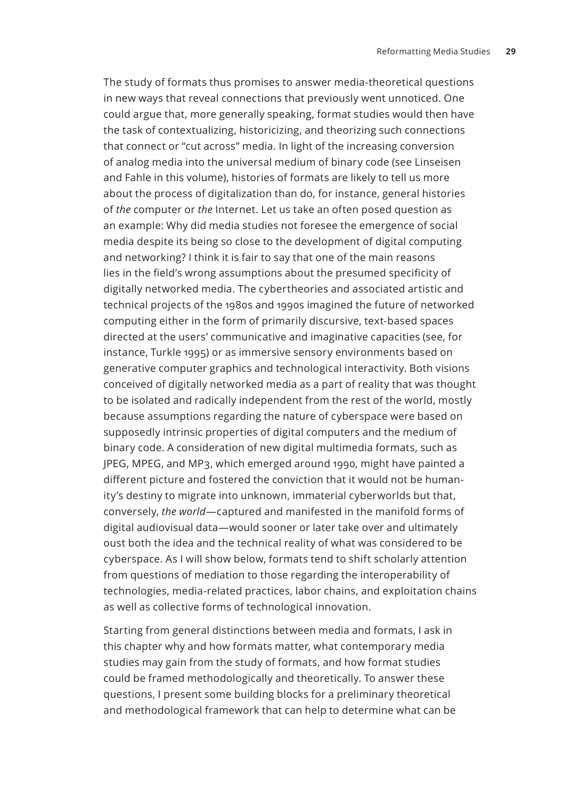The study of formats thus promises to answer media-theoretical questions in new ways that reveal connections that previously went unnoticed. One could argue that, more generally speaking, format studies would then have the task of contextualizing, historicizing, and theorizing such connections that connect or "cut across" media. In light of the increasing conversion of analog media into the universal medium of binary code (see Linseisen and Fahle in this volume), histories of formats are likely to tell us more about the process of digitalization than do, for instance, general histories of *the* computer or *the* Internet. Let ustakean often posed question as an example: Why did media studies not foresee the emergence of social media despite its being so close to the development of digital computing and networking? I think it is fair to say that one of the main reasons lies in the field's wrong assumptions about the presumed specificity of digitally networked media. The cybertheories and associated artistic and technical projects of the 1980s and 1990s imagined the future of networked computing either in the form of primarily discursive, text-based spaces directed at the users' communicative and imaginative capacities (see, for instance, Turkle 1995) or as immersive sensory environments based on generative computer graphics and technological interactivity. Both visions conceived of digitally networked media as a part of reality that was thought to be isolated and radically independent from the rest of the world, mostly because assumptions regarding the nature of cyberspace were based on supposedly intrinsic properties of digital computers and the medium of binary code. A consideration of new digital multimedia formats, such as JPEG, MPEG, and MP3, which emerged around 1990, might have paintedadifferent picture and fostered the conviction that it would not be humanity's destiny to migrate into unknown, immaterial cyberworlds but that, conversely, *the world*—captured and manifested in the manifold forms of digital audiovisual data—would sooner or later take over and ultimately oust both the idea and the technical reality of what was considered to be cyberspace. AsIwill show below, formats tend to shift scholarly attention from questions of mediation to those regarding the interoperability of technologies, media-related practices, labor chains, and exploitation chains as well as collective forms of technological innovation.

Starting from general distinctions between media and formats, I ask in this chapter why and how formats matter, what contemporary media studies may gain from the study of formats, and how format studies could be framed methodologically and theoretically. To answer these questions, I present some building blocks for a preliminary theoretical and methodological framework that can help to determine what can be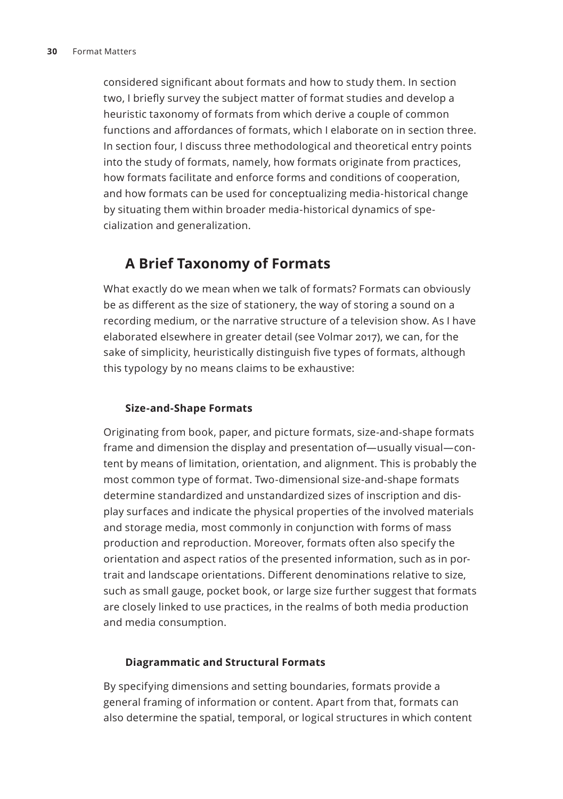considered significant about formats and how to study them. In section two, I briefly survey the subject matter of format studies and develop a heuristic taxonomy of formats from which derive a couple of common functions and affordances of formats, which I elaborate on in section three. In section four, I discuss three methodological and theoretical entry points into the study of formats, namely, how formats originate from practices, how formats facilitate and enforce forms and conditions of cooperation, and how formats can be used for conceptualizing media-historical change by situating them within broader media-historical dynamics of specialization and generalization.

# **A Brief Taxonomy of Formats**

What exactly do we mean when we talk of formats? Formats can obviously be as different as the size of stationery, the way of storing a sound on a recording medium, or the narrative structure of a television show. As I have elaborated elsewhere in greater detail (see Volmar 2017), we can, for the sake of simplicity, heuristically distinguish five types of formats, although this typology by no means claims to be exhaustive:

## **Size-and-Shape Formats**

Originating from book, paper, and picture formats, size-and-shape formats frame and dimension the display and presentation of—usually visual—content by means of limitation, orientation, and alignment. This is probably the most common type of format. Two-dimensional size-and-shape formats determine standardized and unstandardized sizes of inscription and display surfaces and indicate the physical properties of the involved materials and storage media, most commonly in conjunction with forms of mass production and reproduction. Moreover, formats often also specify the orientation and aspect ratios of the presented information, such as in portrait and landscape orientations. Different denominations relative to size, such as small gauge, pocket book, or large size further suggest that formats are closely linked to use practices, in the realms of both media production and media consumption.

## **Diagrammatic and Structural Formats**

By specifying dimensions and setting boundaries, formats provide a general framing of information or content. Apart from that, formats can also determine the spatial, temporal, or logical structures in which content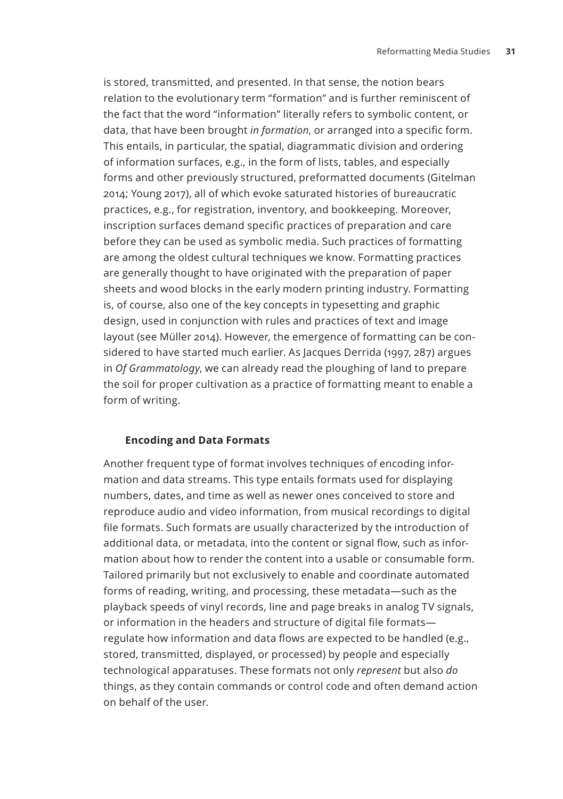is stored, transmitted, and presented. In that sense, the notion bears relation to the evolutionary term "formation" and is further reminiscent of the fact that the word "information" literally refers to symbolic content, or data, that have been brought *in formation*, or arranged into a specific form. This entails, in particular, the spatial, diagrammatic division and ordering of information surfaces, e.g., in the form of lists, tables, and especially forms and other previously structured, preformatted documents (Gitelman 2014; Young 2017), all of which evoke saturated histories of bureaucratic practices, e.g., for registration, inventory, and bookkeeping. Moreover, inscription surfaces demand specific practices of preparation and care before they can be used as symbolic media. Such practices of formatting are among the oldest cultural techniques we know. Formatting practices are generally thought to have originated with the preparation of paper sheets and wood blocks in the early modern printing industry. Formatting is, of course, also one of the key concepts in typesetting and graphic design, used in conjunction with rules and practices of text and image layout (see Müller 2014). However, the emergence of formatting can be considered to have started much earlier. As Jacques Derrida (1997, 287) argues in *Of Grammatology*,we can already read the ploughing of land to prepare the soil for proper cultivation as a practice of formatting meant to enable a form of writing.

#### **Encoding and Data Formats**

Another frequent type of format involves techniques of encoding information and data streams. This type entails formats used for displaying numbers, dates, and time as well as newer ones conceived to store and reproduce audio and video information, from musical recordings to digital file formats. Such formats are usually characterized by the introduction of additional data, or metadata, into the content or signal flow, such as information about how to render the content into a usable or consumable form. Tailored primarily but not exclusively to enable and coordinate automated forms of reading, writing, and processing, these metadata—such as the playback speeds of vinyl records, line and page breaks in analog TV signals, or information in the headers and structure of digital file formats regulate how information and data flows are expected to be handled (e.g., stored, transmitted, displayed, or processed) by people and especially technological apparatuses. These formats not only *represent* but also *do* things, as they contain commands or control code and often demand action on behalf of the user.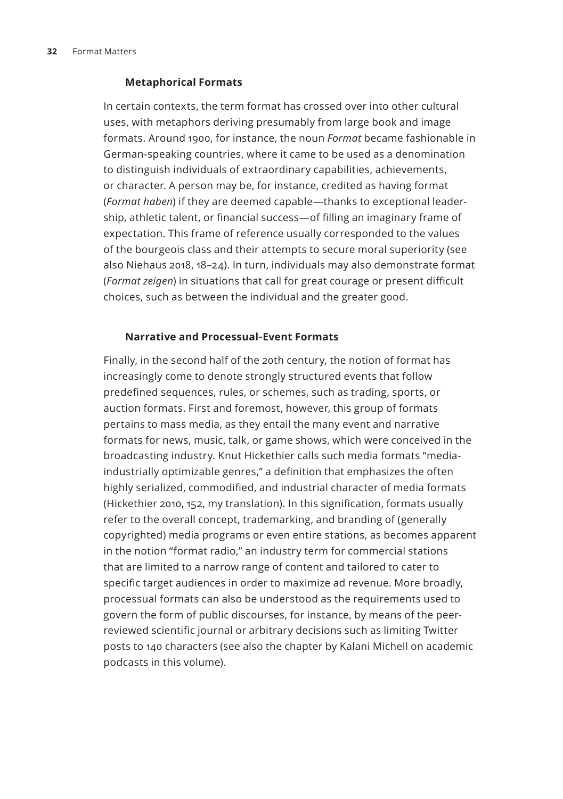#### **Metaphorical Formats**

In certain contexts, the term format has crossed over into other cultural uses, with metaphors deriving presumably from large book and image formats. Around 1900, for instance, the noun *Format* became fashionable in German-speaking countries, where it came to be used as a denomination to distinguish individuals of extraordinary capabilities, achievements, or character.Aperson may be, for instance, credited as having format (*Format haben*)if they are deemed capable—thanks to exceptional leadership, athletic talent, or financial success—of filling an imaginary frame of expectation. This frame of reference usually corresponded to the values of the bourgeois class and their attempts to secure moral superiority (see also Niehaus 2018, 18–24). In turn, individuals may also demonstrate format (*Format zeigen*)in situations that call for great courage or present difficult choices, such as between the individual and the greater good.

#### **Narrative and Processual-Event Formats**

Finally, in the second half of the 20th century, the notion of format has increasingly come to denote strongly structured events that follow predefined sequences, rules, or schemes, such as trading, sports, or auction formats. First and foremost, however, this group of formats pertains to mass media, as they entail the many event and narrative formats for news, music, talk, or game shows, which were conceived in the broadcasting industry. Knut Hickethier calls such media formats "mediaindustrially optimizable genres," a definition that emphasizes the often highly serialized, commodified, and industrial character of media formats (Hickethier 2010, 152, my translation). In this signification, formats usually refer to the overall concept, trademarking, and branding of (generally copyrighted) media programs or even entire stations, as becomes apparent in the notion "format radio," an industry term for commercial stations that are limited to a narrow range of content and tailored to cater to specific target audiences in order to maximize ad revenue. More broadly, processual formats can also be understood as the requirements used to govern the form of public discourses, for instance, by means of the peerreviewed scientific journal or arbitrary decisions such as limiting Twitter posts to 140 characters (see also the chapter by Kalani Michell on academic podcasts in this volume).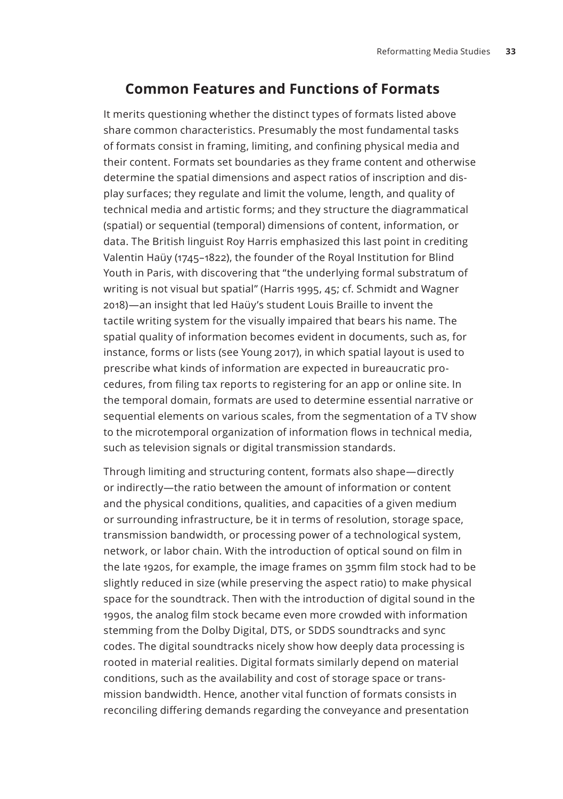# **Common Features and Functions of Formats**

It merits questioning whether the distinct types of formats listed above share common characteristics. Presumably the most fundamental tasks of formats consist in framing, limiting, and confining physical media and their content. Formats set boundaries as they frame content and otherwise determine the spatial dimensions and aspect ratios of inscription and display surfaces; they regulate and limit the volume, length, and quality of technical media and artistic forms; and they structure the diagrammatical (spatial) or sequential (temporal) dimensions of content, information, or data. The British linguist Roy Harris emphasized this last point in crediting Valentin Haüy (1745–1822), the founder of the Royal Institution for Blind Youth in Paris, with discovering that "the underlying formal substratum of writing is not visual but spatial" (Harris 1995, 45; cf. Schmidt and Wagner 2018)—an insight that led Haüy's student Louis Braille to invent the tactile writing system for the visually impaired that bears his name. The spatial quality of information becomes evident in documents, such as, for instance, forms or lists (see Young 2017), in which spatial layout is used to prescribe what kinds of information are expected in bureaucratic procedures, from filing tax reports to registering for an app or online site. In the temporal domain, formats are used to determine essential narrative or sequential elements on various scales, from the segmentation of a TV show to the microtemporal organization of information flows in technical media, such as television signals or digital transmission standards.

Through limiting and structuring content, formats also shape—directly or indirectly—the ratio between the amount of information or content and the physical conditions, qualities, and capacities of a given medium or surrounding infrastructure, be it in terms of resolution, storage space, transmission bandwidth, or processing power of a technological system, network, or labor chain. With the introduction of optical sound on film in the late 1920s, for example, the image frames on 35mm film stock had to be slightly reduced in size (while preserving the aspect ratio) to make physical space for the soundtrack. Then with the introduction of digital sound in the 1990s, the analog film stock became even more crowded with information stemming from the Dolby Digital, DTS, or SDDS soundtracks and sync codes. The digital soundtracks nicely show how deeply data processing is rooted in material realities. Digital formats similarly depend on material conditions, such as the availability and cost of storage space or transmission bandwidth. Hence, another vital function of formats consists in reconciling differing demands regarding the conveyance and presentation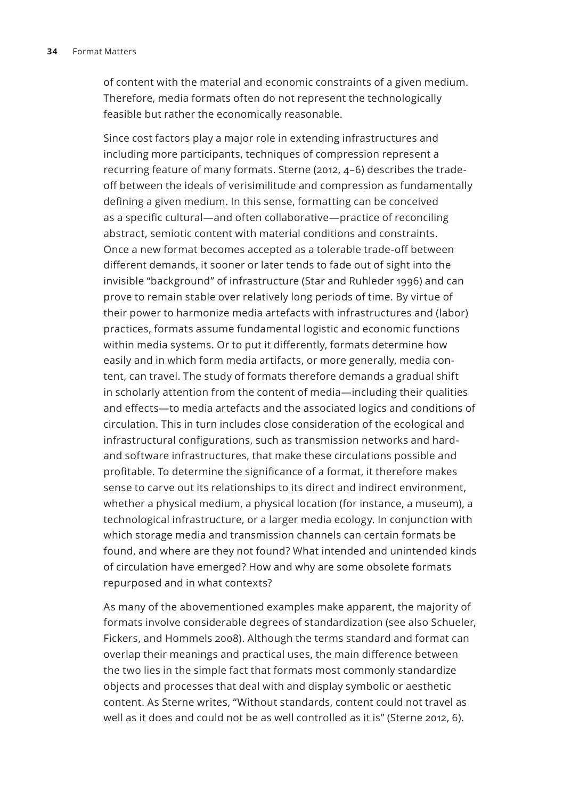of content with the material and economic constraints of a given medium. Therefore, media formats often do not represent the technologically feasible but rather the economically reasonable.

Since cost factors play a major role in extending infrastructures and including more participants, techniques of compression represent a recurring feature of many formats. Sterne (2012, 4–6) describes the tradeoff between the ideals of verisimilitude and compression as fundamentally defining a given medium. In this sense, formatting can be conceived as a specific cultural—and often collaborative—practice of reconciling abstract, semiotic content with material conditions and constraints. Once a new format becomes accepted as a tolerable trade-off between different demands, it sooner or later tends to fade out of sight into the invisible "background" of infrastructure (Star and Ruhleder 1996) and can prove to remain stable over relatively long periods of time. By virtue of their power to harmonize media artefacts with infrastructures and (labor) practices, formats assume fundamental logistic and economic functions within media systems. Or to put it differently, formats determine how easily and in which form media artifacts, or more generally, media content, can travel. The study of formats therefore demands a gradual shift in scholarly attention from the content of media—including their qualities and effects—to media artefacts and the associated logics and conditions of circulation. This in turn includes close consideration of the ecological and infrastructural configurations, such as transmission networks and hardand software infrastructures, that make these circulations possible and profitable. To determine the significance of a format, it therefore makessense to carve out its relationships to its direct and indirect environment, whether a physical medium, a physical location (for instance, a museum), atechnological infrastructure, or a larger media ecology. In conjunction with which storage media and transmission channels can certain formats be found, and where are they not found? What intended and unintended kinds of circulation have emerged? How and why are some obsolete formats repurposed and in what contexts?

As many of the abovementioned examples make apparent, the majority of formats involve considerable degrees of standardization (see also Schueler, Fickers, and Hommels 2008). Although the terms standard and format can overlap their meanings and practical uses, the main difference between the two lies in the simple fact that formats most commonly standardize objects and processes that deal with and display symbolic or aesthetic content. As Sterne writes, "Without standards, content could not travel as well as it does and could not be as well controlled as it is" (Sterne 2012, 6).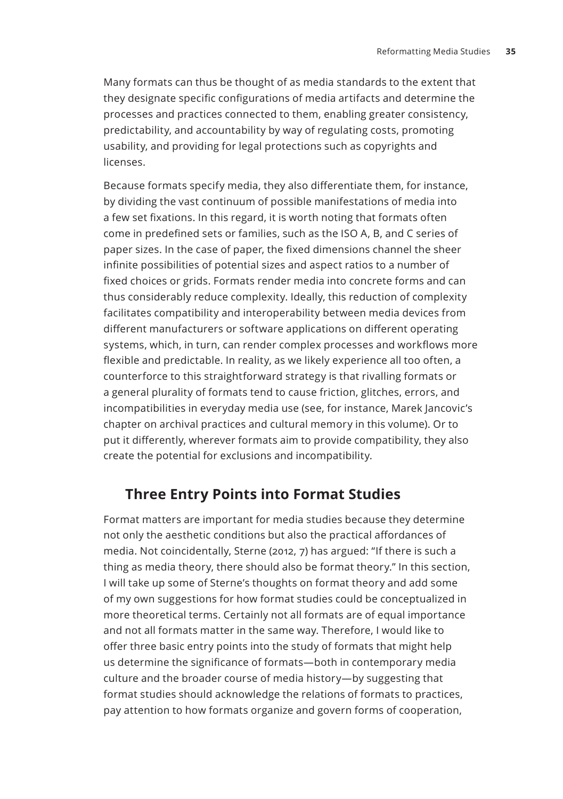Many formats can thus be thought of as media standards to the extent that they designate specific configurations of media artifacts and determine the processes and practices connected to them, enabling greater consistency, predictability, and accountability by way of regulating costs, promoting usability, and providing for legal protections such as copyrights and licenses.

Because formats specify media, they also differentiate them, for instance, by dividing the vast continuum of possible manifestations of media into afew set fixations. In this regard, it is worth noting that formats often come in predefined sets or families, such as the ISO A, B, and C series of paper sizes. In the case of paper, the fixed dimensions channel the sheer infinite possibilities of potential sizes and aspect ratios to a number of fixed choices or grids. Formats render media into concrete forms and can thus considerably reduce complexity. Ideally, this reduction of complexity facilitates compatibility and interoperability between media devices from different manufacturers or software applications on different operating systems, which, in turn, can render complex processes and workflows more flexible and predictable. In reality, as we likely experience all too often, a counterforce to this straightforward strategy is that rivalling formats or ageneral plurality of formats tend to cause friction, glitches, errors, and incompatibilities in everyday media use (see, for instance, Marek Jancovic's chapter on archival practices and cultural memory in this volume). Or to put it differently, wherever formats aim to provide compatibility, they also create the potential for exclusions and incompatibility.

# **Three Entry Points into Format Studies**

Format matters are important for media studies because they determine not only the aesthetic conditions but also the practical affordances of media. Not coincidentally, Sterne (2012, 7) has argued: "If there is suchathing as media theory, there should also be format theory." In this section, I will take up some of Sterne's thoughts on format theory and add some of my own suggestions for how format studies could be conceptualized in more theoretical terms. Certainly not all formats are of equal importance and not all formats matter in the same way. Therefore, I would like to offer three basic entry points into the study of formats that might help us determine the significance of formats—both in contemporary media culture and the broader course of media history—by suggesting that format studies should acknowledge the relations of formats to practices, pay attention to how formats organize and govern forms of cooperation,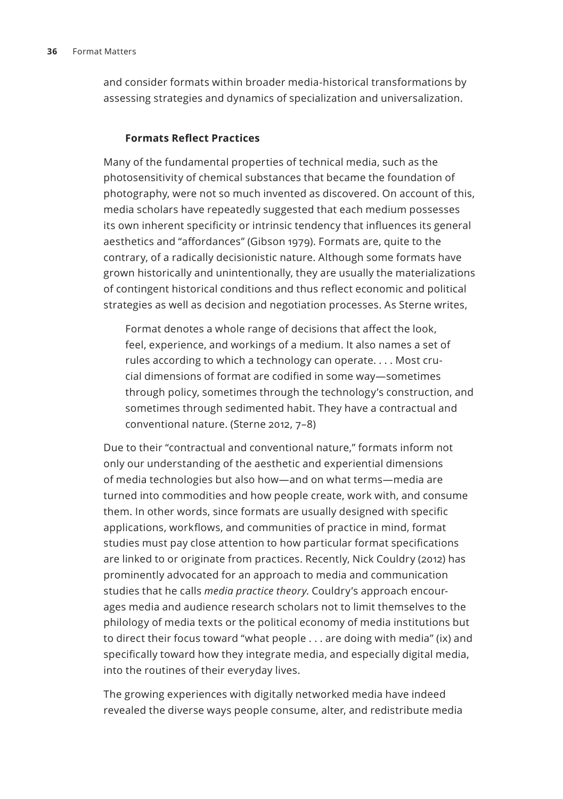and consider formats within broader media-historical transformations by assessing strategies and dynamics of specialization and universalization.

#### **Formats Reflect Practices**

Many of the fundamental properties of technical media, such as the photosensitivity of chemical substances that became the foundation of photography, were not so much invented as discovered. On account of this, media scholars have repeatedly suggested that each medium possesses its own inherent specificity or intrinsic tendency that influences its general aesthetics and "affordances" (Gibson 1979). Formats are, quite to the contrary, of a radically decisionistic nature. Although some formats have grown historically and unintentionally, they are usually the materializations of contingent historical conditions and thus reflect economic and political strategies as well as decision and negotiation processes. As Sterne writes,

Format denotes a whole range of decisions that affect the look, feel, experience, and workings of a medium. It also names a set of rules according to which a technology can operate.... Most crucial dimensions of format are codified in some way—sometimes through policy, sometimes through the technology's construction, and sometimes through sedimented habit. They have a contractual and conventional nature. (Sterne 2012, 7–8)

Due to their "contractual and conventional nature," formats inform not only our understanding of the aesthetic and experiential dimensions of media technologies but also how—and on what terms—media are turned into commodities and how people create, work with, and consume them. In other words, since formats are usually designed with specific applications, workflows, and communities of practice in mind, format studies must pay close attention to how particular format specifications are linked to or originate from practices. Recently, Nick Couldry (2012) has prominently advocated for an approach to media and communication studies that he calls *media practice theory*.Couldry's approach encourages media and audience research scholars not to limit themselves to the philology of media texts or the political economy of media institutions but to direct their focus toward "what people . . . are doing with media" (ix) and specifically toward how they integrate media, and especially digital media, into the routines of their everyday lives.

The growing experiences with digitally networked media have indeed revealed the diverse ways people consume, alter, and redistribute media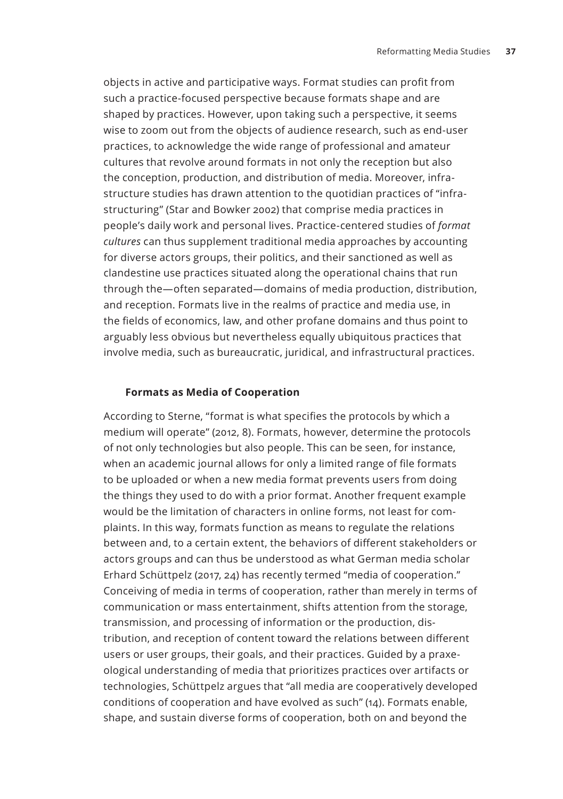objects in active and participative ways. Format studies can profit from such a practice-focused perspective because formats shape and are shaped by practices. However, upon taking such a perspective, it seems wise to zoom out from the objects of audience research, such as end-user practices, to acknowledge the wide range of professional and amateur cultures that revolve around formats in not only the reception but also the conception, production, and distribution of media. Moreover, infrastructure studies has drawn attention to the quotidian practices of "infrastructuring" (Star and Bowker 2002) that comprise media practices in people's daily work and personal lives. Practice-centered studies of *format cultures* can thus supplement traditional media approaches by accounting for diverse actors groups, their politics, and their sanctioned as well as clandestine use practices situated along the operational chains that run through the—often separated—domains of media production, distribution, and reception. Formats live in the realms of practice and media use, in the fields of economics, law, and other profane domains and thus point to arguably less obvious but nevertheless equally ubiquitous practices that involve media, such as bureaucratic, juridical, and infrastructural practices.

#### **Formats as Media of Cooperation**

According to Sterne, "format is what specifies the protocols by which a medium will operate" (2012, 8). Formats, however, determine the protocols of not only technologies but also people. This can be seen, for instance, when an academic journal allows for only a limited range of file formats to be uploaded or when a new media format prevents users from doing the things they used to do with a prior format. Another frequent example would be the limitation of characters in online forms, not least for complaints. In this way, formats function as means to regulate the relations between and, to a certain extent, the behaviors of different stakeholders or actors groups and can thus be understood as what German media scholar Erhard Schüttpelz (2017, 24) has recently termed "media of cooperation." Conceiving of media in terms of cooperation, rather than merely in terms of communication or mass entertainment, shifts attention from the storage, transmission, and processing of information or the production, distribution, and reception of content toward the relations between different users or user groups, their goals, and their practices. Guided by a praxeological understanding of media that prioritizes practices over artifacts or technologies, Schüttpelz argues that "all media are cooperatively developed conditions of cooperation and have evolved as such" (14). Formats enable, shape, and sustain diverse forms of cooperation, both on and beyond the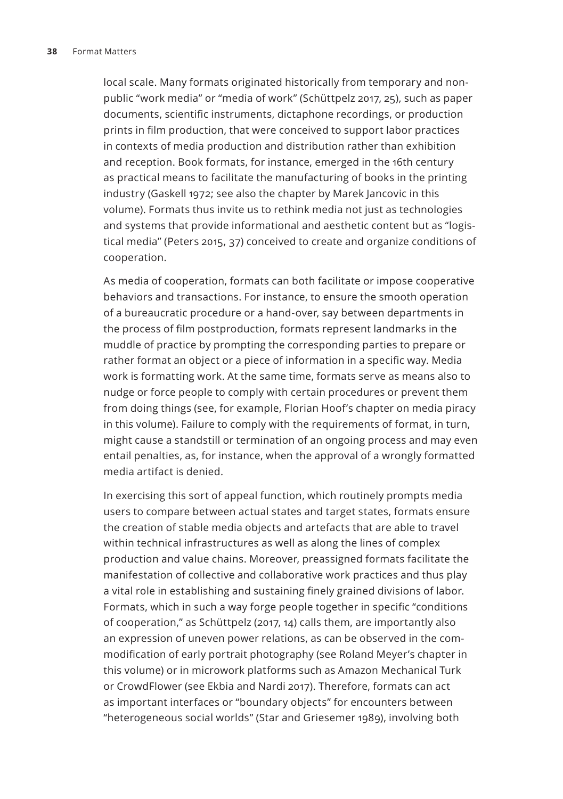local scale. Many formats originated historically from temporary and nonpublic "work media" or "media of work" (Schüttpelz 2017, 25), such as paper documents, scientific instruments, dictaphone recordings, or production prints in film production, that were conceived to support labor practices in contexts of media production and distribution rather than exhibition and reception. Book formats, for instance, emerged in the 16th century as practical means to facilitate the manufacturing of books in the printing industry (Gaskell 1972; see also the chapter by Marek Jancovic in this volume). Formats thus invite us to rethink media not just as technologies and systems that provide informational and aesthetic content but as "logistical media" (Peters 2015, 37) conceived to create and organize conditions of cooperation.

As media of cooperation, formats can both facilitate or impose cooperative behaviors and transactions. For instance, to ensure the smooth operation of a bureaucratic procedure or a hand-over, say between departments in the process of film postproduction, formats represent landmarks in the muddle of practice by prompting the corresponding parties to prepare or rather format an object or a piece of information in a specific way. Media work is formatting work. At the same time, formats serve as means also to nudge or force people to comply with certain procedures or prevent them from doing things (see, for example, Florian Hoof's chapter on media piracy in this volume). Failure to comply with the requirements of format, in turn, might cause a standstill or termination of an ongoing process and may even entail penalties, as, for instance, when the approval of a wrongly formatted media artifact is denied.

In exercising this sort of appeal function, which routinely prompts media users to compare between actual states and target states, formats ensure the creation of stable media objects and artefacts that are able to travel within technical infrastructures as well as along the lines of complex production and value chains. Moreover, preassigned formats facilitate the manifestation of collective and collaborative work practices and thus play avital role in establishing and sustaining finely grained divisions of labor. Formats, which in such a way forge people together in specific "conditions of cooperation," as Schüttpelz (2017, 14) calls them, are importantly also an expression of uneven power relations, as can be observed in the commodification of early portrait photography (see Roland Meyer's chapter in this volume) or in microwork platforms such as Amazon Mechanical Turk or CrowdFlower (see Ekbia and Nardi 2017). Therefore, formats can act as important interfaces or "boundary objects" for encounters between "heterogeneous social worlds" (Star and Griesemer 1989), involving both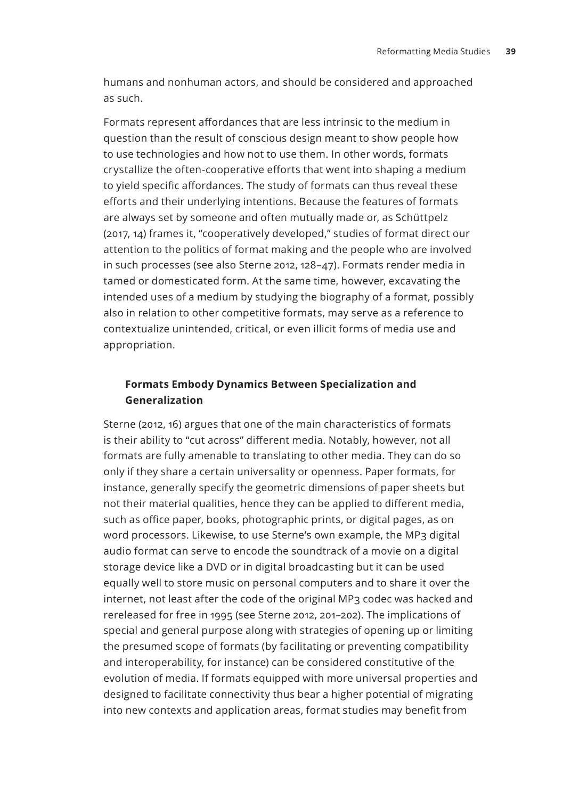humans and nonhuman actors, and should be considered and approached as such.

Formats represent affordances that are less intrinsic to the medium in question than the result of conscious design meant to show people how to use technologies and how not to use them. In other words, formats crystallize the often-cooperative efforts that went into shaping a medium to yield specific affordances. The study of formats can thus reveal these efforts and their underlying intentions. Because the features of formats are always set by someone and often mutually made or, as Schüttpelz (2017, 14) frames it, "cooperatively developed," studies of format direct our attention to the politics of format making and the people who are involved in such processes (see also Sterne 2012, 128–47). Formats render media in tamed or domesticated form. At the same time, however, excavating the intended uses of a medium by studying the biography of a format, possibly also in relation to other competitive formats, may serve as a reference to contextualize unintended, critical, or even illicit forms of media use and appropriation.

## **Formats Embody Dynamics Between Specialization and Generalization**

Sterne (2012, 16) argues that one of the main characteristics of formats is their ability to "cut across" different media. Notably, however, not all formats are fully amenable to translating to other media. They can do so only if they share a certain universality or openness. Paper formats, for instance, generally specify the geometric dimensions of paper sheets but not their material qualities, hence they can be applied to different media, such as office paper, books, photographic prints, or digital pages, as on word processors. Likewise, to use Sterne's own example, the MP3 digital audio format can serve to encode the soundtrack of a movie on a digital storage device like a DVD or in digital broadcasting but it can be used equally well to store music on personal computers and to share it over the internet, not least after the code of the original MP3 codec was hacked and rereleased for free in 1995 (see Sterne 2012, 201–202). The implications of special and general purpose along with strategies of opening up or limiting the presumed scope of formats (by facilitating or preventing compatibility and interoperability, for instance) can be considered constitutive of the evolution of media. If formats equipped with more universal properties and designed to facilitate connectivity thus bear a higher potential of migrating into new contexts and application areas, format studies may benefit from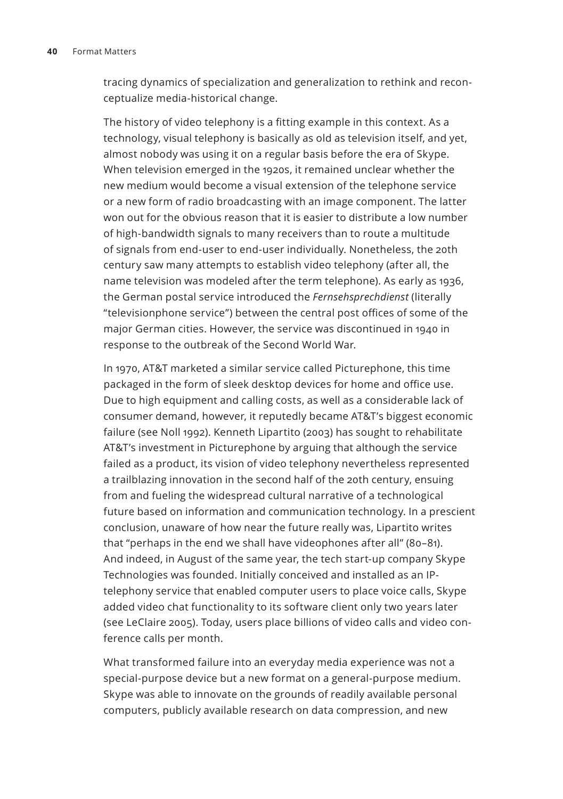tracing dynamics of specialization and generalization to rethink and reconceptualize media-historical change.

The history of video telephony is a fitting example in this context. As a technology, visual telephony is basically as old as television itself, and yet, almost nobody was using it on a regular basis before the era of Skype. When television emerged in the 1920s, it remained unclear whether the new medium would become a visual extension of the telephone service or a new form of radio broadcasting with an image component. The latter won out for the obvious reason that it is easier to distribute a low number of high-bandwidth signals to many receivers than to route a multitude of signals from end-user to end-user individually. Nonetheless, the 20th century saw many attempts to establish video telephony (after all, the name television was modeled after the term telephone). As early as 1936, the German postal service introduced the *Fernsehsprechdienst* (literally "televisionphone service") between the central post offices of some of the major German cities. However, the service was discontinued in 1940 in response to the outbreak of the Second World War.

In 1970, AT&T marketed a similar service called Picturephone, this time packaged in the form of sleek desktop devices for home and office use. Due to high equipment and calling costs, as well as a considerable lack of consumer demand, however, it reputedly became AT&T's biggest economic failure (see Noll 1992). Kenneth Lipartito (2003) has sought to rehabilitate AT&T's investment in Picturephone by arguing that although the service failed as a product, its vision of video telephony nevertheless represented atrailblazing innovation in the second half of the 20th century, ensuing from and fueling the widespread cultural narrative of a technological future based on information and communication technology. In a prescient conclusion, unaware of how near the future really was, Lipartito writes that "perhaps in the end we shall have videophones after all" (80–81). And indeed, in August of the same year, the tech start-up company Skype Technologies was founded. Initially conceived and installed as an IPtelephony service that enabled computer users to place voice calls, Skype added video chat functionality to its software client only two years later (see LeClaire 2005). Today, users place billions of video calls and video conference calls per month.

What transformed failure into an everyday media experience was not a special-purpose device but a new format on a general-purpose medium. Skype was able to innovate on the grounds of readily available personal computers, publicly available research on data compression, and new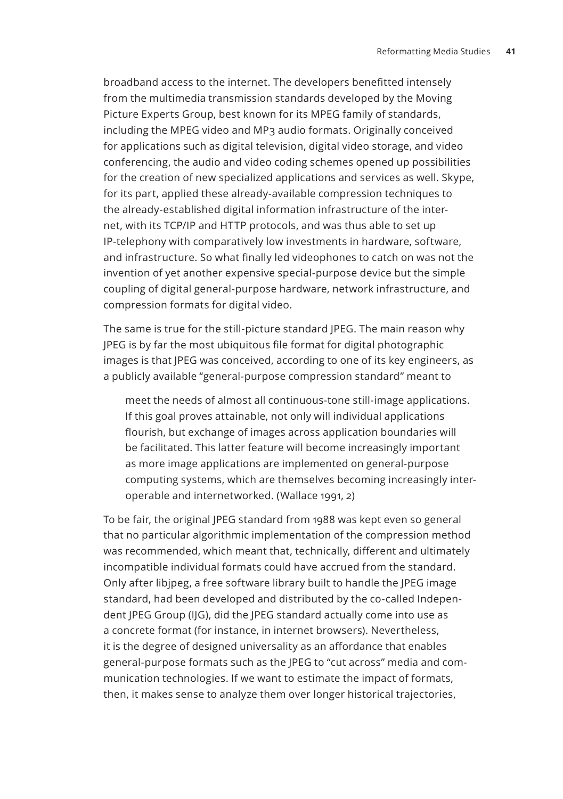broadband access to the internet. The developers benefitted intensely from the multimedia transmission standards developed by the Moving Picture Experts Group, best known for its MPEG family of standards, including the MPEG video and MP3 audio formats. Originally conceived for applications such as digital television, digital video storage, and video conferencing, the audio and video coding schemes opened up possibilities for the creation of new specialized applications and services as well. Skype, for its part, applied these already-available compression techniques to the already-established digital information infrastructure of the internet, with its TCP/IP and HTTP protocols, and was thus able to set up IP-telephony with comparatively low investments in hardware, software, and infrastructure. So what finally led videophones to catch on was not the invention of yet another expensive special-purpose device but the simple coupling of digital general-purpose hardware, network infrastructure, and compression formats for digital video.

The same is true for the still-picture standard JPEG. The main reason why JPEG is by far the most ubiquitous file format for digital photographic images is that JPEG was conceived, according to one of its key engineers, as apublicly available "general-purpose compression standard" meant to

meet the needs of almost all continuous-tone still-image applications. If this goal proves attainable, not only will individual applications flourish, but exchange of images across application boundaries will be facilitated. This latter feature will become increasingly important as more image applications are implemented on general-purpose computing systems, which are themselves becoming increasingly interoperable and internetworked. (Wallace 1991, 2)

To be fair, the original JPEG standard from 1988 was kept even so general that no particular algorithmic implementation of the compression method was recommended, which meant that, technically, different and ultimately incompatible individual formats could have accrued from the standard. Only after libjpeg, a free software library built to handle the JPEG image standard, had been developed and distributed by the co-called Independent JPEG Group (IJG), did the JPEG standard actually come into use as a concrete format (for instance, in internet browsers). Nevertheless, it is the degree of designed universality as an affordance that enables general-purpose formats such as the JPEG to "cut across" media and communication technologies. If we want to estimate the impact of formats, then, it makes sense to analyze them over longer historical trajectories,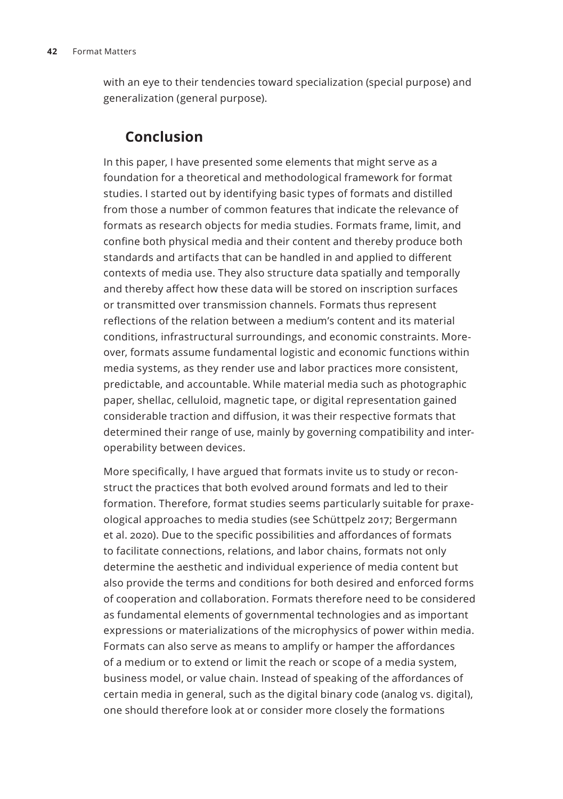with an eye to their tendencies toward specialization (special purpose) and generalization (general purpose).

## **Conclusion**

In this paper, I have presented some elements that might serve as a foundation for a theoretical and methodological framework for format studies. I started out by identifying basic types of formats and distilled from those a number of common features that indicate the relevance of formats as research objects for media studies. Formats frame, limit, and confine both physical media and their content and thereby produce both standards and artifacts that can be handled in and applied to different contexts of media use. They also structure data spatially and temporally and thereby affect how these data will be stored on inscription surfaces or transmitted over transmission channels. Formats thus represent reflections of the relation between a medium's content and its material conditions, infrastructural surroundings, and economic constraints. Moreover, formats assume fundamental logistic and economic functions within media systems, as they render use and labor practices more consistent, predictable, and accountable. While material media such as photographic paper, shellac, celluloid, magnetic tape, or digital representation gained considerable traction and diffusion, it was their respective formats that determined their range of use, mainly by governing compatibility and interoperability between devices.

More specifically, I have argued that formats invite us to study or reconstruct the practices that both evolved around formats and led to their formation. Therefore, format studies seems particularly suitable for praxeological approaches to media studies (see Schüttpelz 2017; Bergermann et al. 2020). Due to the specific possibilities and affordances of formats to facilitate connections, relations, and labor chains, formats not only determine the aesthetic and individual experience of media content but also provide the terms and conditions for both desired and enforced forms of cooperation and collaboration. Formats therefore need to be considered as fundamental elements of governmental technologies and as important expressions or materializations of the microphysics of power within media. Formats can also serve as means to amplify or hamper the affordances of a medium or to extend or limit the reach or scope of a media system, business model, or value chain. Instead of speaking of the affordances of certain media in general, such as the digital binary code (analog vs. digital), one should therefore look at or consider more closely the formations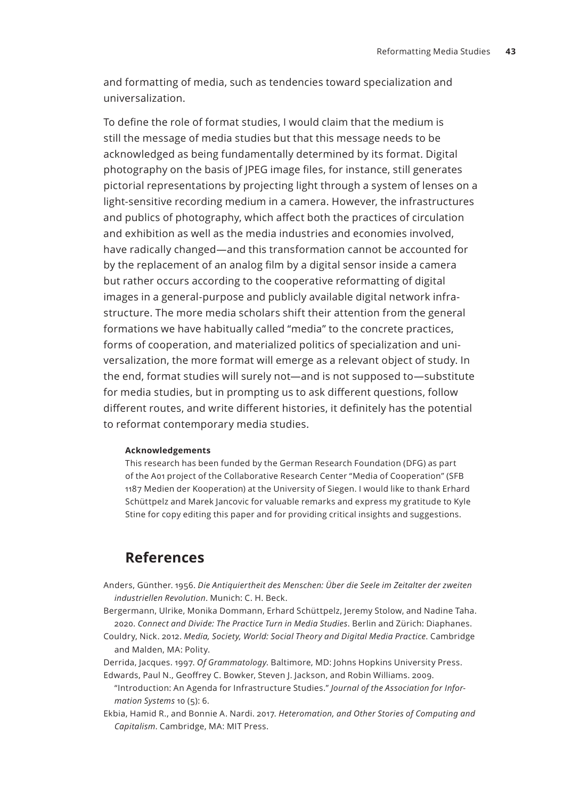and formatting of media, such as tendencies toward specialization and universalization.

To define the role of format studies. I would claim that the medium is still the message of media studies but that this message needs to be acknowledged as being fundamentally determined by its format. Digital photography on the basis of JPEG image files, for instance, still generates pictorial representations by projecting light through a system of lenses on a light-sensitive recording medium in a camera. However, the infrastructures and publics of photography, which affect both the practices of circulation and exhibition as well as the media industries and economies involved, have radically changed—and this transformation cannot be accounted for by the replacement of an analog film by a digital sensor inside a camera but rather occurs according to the cooperative reformatting of digital images in a general-purpose and publicly available digital network infrastructure. The more media scholars shift their attention from the general formations we have habitually called "media" to the concrete practices, forms of cooperation, and materialized politics of specialization and universalization, the more format will emerge as a relevant object of study. In the end, format studies will surely not—and is not supposed to—substitute for media studies, but in prompting us to ask different questions, follow different routes, and write different histories, it definitely has the potential to reformat contemporary media studies.

#### **Acknowledgements**

This research has been funded by the German Research Foundation (DFG) as part of the A01 project of the Collaborative Research Center "Media of Cooperation" (SFB 1187 Medien der Kooperation) at the University of Siegen.Iwould like to thank Erhard Schüttpelz and Marek Jancovic for valuable remarks and express my gratitude to Kyle Stine for copy editing this paper and for providing critical insights and suggestions.

# **References**

- Anders, Günther. 1956. *Die Antiquiertheit des Menschen: Über die Seele im Zeitalter der zweiten industriellen Revolution*.Munich: C. H. Beck.
- Bergermann, Ulrike, Monika Dommann, Erhard Schüttpelz, Jeremy Stolow, and Nadine Taha. 2020. *Connect and Divide: The Practice Turn in Media Studies*.Berlin and Zürich: Diaphanes.
- Couldry, Nick. 2012. *Media, Society, World: Social Theory and Digital Media Practice*.Cambridge and Malden, MA: Polity.

Derrida, Jacques. 1997. *Of Grammatology*.Baltimore, MD: Johns Hopkins University Press. Edwards, Paul N., Geoffrey C. Bowker, Steven J. Jackson, and Robin Williams. 2009.

"Introduction: An Agenda for Infrastructure Studies." *Journal of the Association for Information Systems* 10 (5): 6.

Ekbia, Hamid R., and Bonnie A. Nardi. 2017. *Heteromation, and Other Stories of Computing and Capitalism*.Cambridge, MA: MIT Press.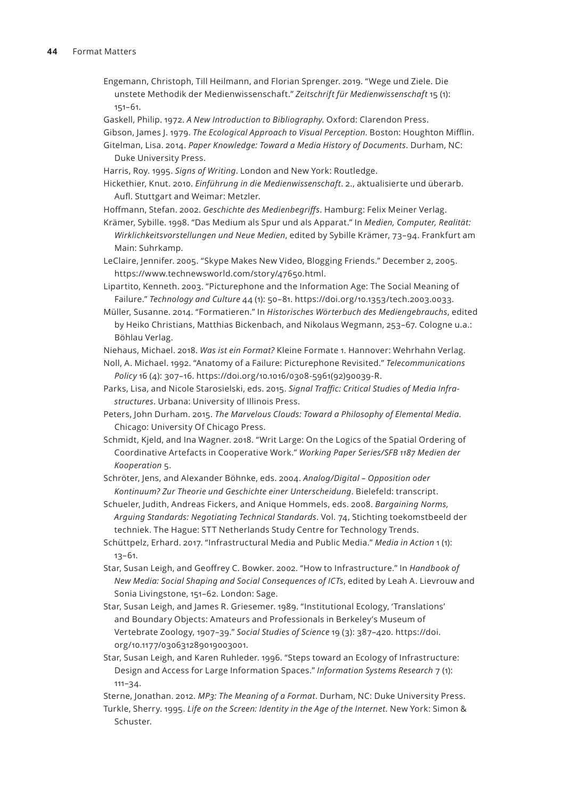Engemann, Christoph, Till Heilmann, and Florian Sprenger. 2019. "Wege und Ziele. Die unstete Methodik der Medienwissenschaft." *Zeitschrift für Medienwissenschaft* 15 (1): 151–61.

Gaskell, Philip. 1972. *A New Introduction to Bibliography*.Oxford: Clarendon Press.

- Gibson, James J. 1979. *The Ecological Approach to Visual Perception*.Boston: Houghton Mifflin.
- Gitelman, Lisa. 2014. *Paper Knowledge: Toward a Media History of Documents*.Durham, NC: Duke University Press.
- Harris, Roy. 1995. *Signs of Writing*.London and New York: Routledge.
- Hickethier, Knut. 2010. *Einführung in die Medienwissenschaft*.2., aktualisierte und überarb. Aufl. Stuttgart and Weimar: Metzler.
- Hoffmann, Stefan. 2002. *Geschichte des Medienbegriffs*.Hamburg: Felix Meiner Verlag.
- Krämer, Sybille. 1998. "Das Medium als Spur und als Apparat." In *Medien, Computer, Realität: Wirklichkeitsvorstellungen und Neue Medien*,edited by Sybille Krämer, 73–94. Frankfurt am Main: Suhrkamp.
- LeClaire, Jennifer. 2005. "Skype Makes New Video, Blogging Friends." December 2, 2005. [https://www.technewsworld.com/story/47650.html.](https://www.technewsworld.com/story/47650.html)

Lipartito, Kenneth. 2003. "Picturephone and the Information Age: The Social Meaning of Failure." *Technology and Culture* 44 (1): 50–81. [https://doi.org/10.1353/tech.2003.0033](https://muse.jhu.edu/article/40173).

Müller, Susanne. 2014. "Formatieren." In *Historisches Wörterbuch des Mediengebrauchs*,edited by Heiko Christians, Matthias Bickenbach, and Nikolaus Wegmann, 253–67. Cologne u.a.: Böhlau Verlag.

Niehaus, Michael. 2018. *Was ist ein Format?* Kleine Formate 1. Hannover: Wehrhahn Verlag.

- Noll, A. Michael. 1992. "Anatomy ofaFailure: Picturephone Revisited." *Telecommunications Policy* 16 (4): 307–16. [https://doi.org/10.1016/0308-5961\(92\)90039-R.](https://www.sciencedirect.com/science/article/abs/pii/030859619290039R?via%3Dihub)
- Parks, Lisa, and Nicole Starosielski, eds. 2015. *Signal Traffic: Critical Studies of Media Infrastructures*.Urbana: University of Illinois Press.
- Peters, John Durham. 2015. *The Marvelous Clouds: Toward a Philosophy of Elemental Media*. Chicago: University Of Chicago Press.
- Schmidt, Kjeld, and Ina Wagner. 2018. "Writ Large: On the Logics of the Spatial Ordering of Coordinative Artefacts in Cooperative Work." *Working Paper Series/SFB 1187 Medien der Kooperation* 5.

Schröter, Jens, and Alexander Böhnke, eds. 2004. *Analog/Digital – Opposition oder Kontinuum? Zur Theorie und Geschichte einer Unterscheidung*.Bielefeld: transcript.

- Schueler, Judith, Andreas Fickers, and Anique Hommels, eds. 2008. *Bargaining Norms, Arguing Standards: Negotiating Technical Standards*.Vol. 74, Stichting toekomstbeeld der techniek. The Hague: STT Netherlands Study Centre for Technology Trends.
- Schüttpelz, Erhard. 2017. "Infrastructural Media and Public Media." *Media in Action*1(1): 13–61.
- Star, Susan Leigh, and Geoffrey C. Bowker. 2002. "How to Infrastructure." In *Handbook of New Media: Social Shaping and Social Consequences of ICTs*, edited by Leah A. Lievrouw and Sonia Livingstone, 151–62. London: Sage.
- Star, Susan Leigh, and James R. Griesemer. 1989. "Institutional Ecology, 'Translations' and Boundary Objects: Amateurs and Professionals in Berkeley's Museum of Vertebrate Zoology,1907–39."*Social Studies of Science* 19 (3): 387–420. https://doi. [org/10.1177/030631289019003001.](https://journals.sagepub.com/doi/10.1177/030631289019003001)
- Star, Susan Leigh, and Karen Ruhleder. 1996. "Steps toward an Ecology of Infrastructure: Design and Access for Large Information Spaces." *Information Systems Research*7(1): 111–34.

Sterne, Jonathan. 2012. *MP3: The Meaning of a Format*. Durham, NC: Duke University Press. Turkle, Sherry. 1995. *Life on the Screen: Identity in the Age of the Internet*. New York: Simon & Schuster.